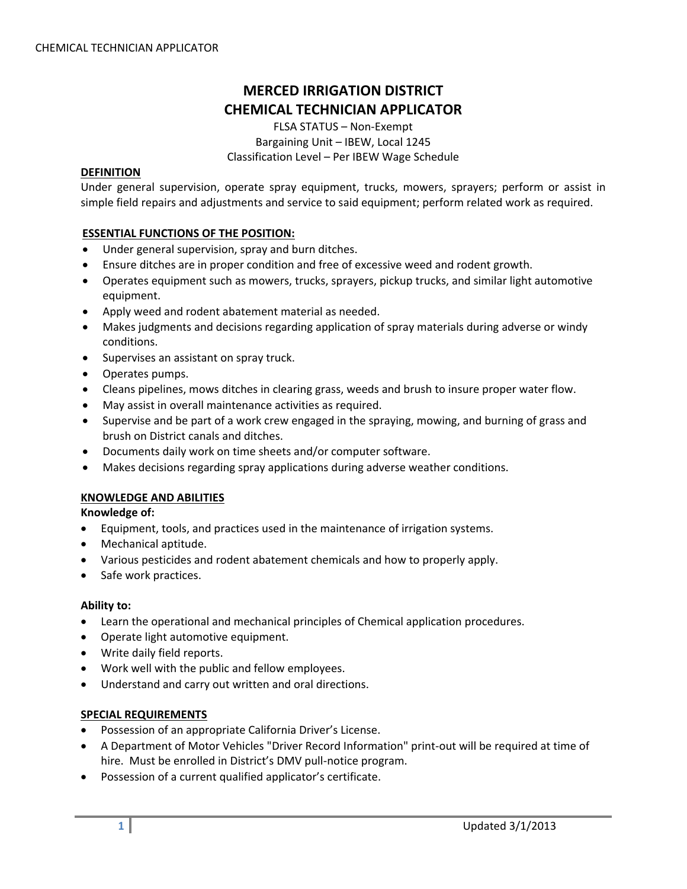# **MERCED IRRIGATION DISTRICT CHEMICAL TECHNICIAN APPLICATOR**

FLSA STATUS – Non‐Exempt Bargaining Unit – IBEW, Local 1245 Classification Level – Per IBEW Wage Schedule

# **DEFINITION**

Under general supervision, operate spray equipment, trucks, mowers, sprayers; perform or assist in simple field repairs and adjustments and service to said equipment; perform related work as required.

## **ESSENTIAL FUNCTIONS OF THE POSITION:**

- Under general supervision, spray and burn ditches.
- Ensure ditches are in proper condition and free of excessive weed and rodent growth.
- Operates equipment such as mowers, trucks, sprayers, pickup trucks, and similar light automotive equipment.
- Apply weed and rodent abatement material as needed.
- Makes judgments and decisions regarding application of spray materials during adverse or windy conditions.
- Supervises an assistant on spray truck.
- Operates pumps.
- Cleans pipelines, mows ditches in clearing grass, weeds and brush to insure proper water flow.
- May assist in overall maintenance activities as required.
- Supervise and be part of a work crew engaged in the spraying, mowing, and burning of grass and brush on District canals and ditches.
- Documents daily work on time sheets and/or computer software.
- Makes decisions regarding spray applications during adverse weather conditions.

## **KNOWLEDGE AND ABILITIES**

**Knowledge of:**

- Equipment, tools, and practices used in the maintenance of irrigation systems.
- Mechanical aptitude.
- Various pesticides and rodent abatement chemicals and how to properly apply.
- Safe work practices.

## **Ability to:**

- Learn the operational and mechanical principles of Chemical application procedures.
- Operate light automotive equipment.
- Write daily field reports.
- Work well with the public and fellow employees.
- Understand and carry out written and oral directions.

## **SPECIAL REQUIREMENTS**

- Possession of an appropriate California Driver's License.
- A Department of Motor Vehicles "Driver Record Information" print‐out will be required at time of hire. Must be enrolled in District's DMV pull-notice program.
- Possession of a current qualified applicator's certificate.